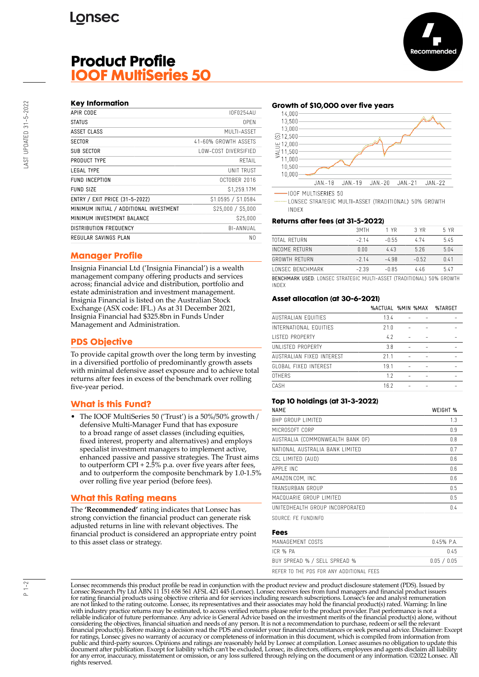# **Product Profile IOOF MultiSeries 50**

#### **Key Information**

| APIR CODE                               | IOF0254AU            |
|-----------------------------------------|----------------------|
| <b>STATUS</b>                           | 0PFN                 |
| ASSET CLASS                             | MUITI-ASSFT          |
| <b>SECTOR</b>                           | 41-60% GROWTH ASSFTS |
| <b>SUB SECTOR</b>                       | LOW-COST DIVERSIFIED |
| PRODUCT TYPE                            | RFTAIL               |
| LEGAL TYPE                              | UNIT TRUST           |
| FUND INCEPTION                          | OCTOBER 2016         |
| FUND SIZE                               | \$1,259.17M          |
| ENTRY / EXIT PRICE (31-5-2022)          | \$1.0595 / \$1.0584  |
| MINIMUM INITIAL / ADDITIONAL INVESTMENT | \$25,000 / \$5,000   |
| MINIMUM INVESTMENT BALANCE              | \$25,000             |
| <b>DISTRIBUTION FREQUENCY</b>           | BI-ANNUAL            |
| REGULAR SAVINGS PLAN                    | N0                   |
|                                         |                      |

## **Manager Profile**

Insignia Financial Ltd ('Insignia Financial') is a wealth management company offering products and services across; financial advice and distribution, portfolio and estate administration and investment management. Insignia Financial is listed on the Australian Stock Exchange (ASX code: IFL.) As at 31 December 2021, Insignia Financial had \$325.8bn in Funds Under Management and Administration.

# **PDS Objective**

To provide capital growth over the long term by investing in a diversified portfolio of predominantly growth assets with minimal defensive asset exposure and to achieve total returns after fees in excess of the benchmark over rolling five-year period.

## **What is this Fund?**

• The IOOF MultiSeries 50 ('Trust') is a 50%/50% growth / defensive Multi-Manager Fund that has exposure to a broad range of asset classes (including equities, fixed interest, property and alternatives) and employs specialist investment managers to implement active, enhanced passive and passive strategies. The Trust aims to outperform CPI + 2.5% p.a. over five years after fees, and to outperform the composite benchmark by 1.0-1.5% over rolling five year period (before fees).

## **What this Rating means**

The **'Recommended'** rating indicates that Lonsec has strong conviction the financial product can generate risk adjusted returns in line with relevant objectives. The financial product is considered an appropriate entry point to this asset class or strategy.

#### **Growth of \$10,000 over five years**



-100F MULTISERIES 50

LONSEC STRATEGIC MULTI-ASSET (TRADITIONAL) 50% GROWTH INDEX

#### **Returns after fees (at 31-5-2022)**

|                                                                        | 3MTH    | 1 YR    | 3 YR    | 5 YR |
|------------------------------------------------------------------------|---------|---------|---------|------|
| TOTAL RETURN                                                           | $-214$  | $-0.55$ | 474     | 5.45 |
| INCOME RETURN                                                          | 0.00    | 443     | 5.26    | 5.04 |
| <b>GROWTH RETURN</b>                                                   | $-214$  | $-4.98$ | $-0.52$ | 0.41 |
| LONSEC BENCHMARK                                                       | $-2.39$ | $-0.85$ | 446     | 5.47 |
| RENCHMARK HRED, LONSEC STRATEGIC MILITI_ASSET (TRADITIONAL) 50% GROWTH |         |         |         |      |

BENCHMARK USED: LONSEC STRATEGIC MULTI-ASSET (TRADITIONAL) 50% GROWTH INDEX

#### **Asset allocation (at 30-6-2021)**

|                           | %ACTUAL %MIN %MAX |  | %TARGET |
|---------------------------|-------------------|--|---------|
| AUSTRALIAN EQUITIES       | 13.4              |  |         |
| INTERNATIONAL EQUITIES    | 21.0              |  |         |
| <b>LISTED PROPERTY</b>    | 4.2               |  |         |
| UNLISTED PROPERTY         | 3.8               |  |         |
| AUSTRALIAN FIXED INTEREST | 211               |  |         |
| GLOBAL FIXED INTEREST     | 19.1              |  |         |
| <b>OTHERS</b>             | 12                |  |         |
| CASH                      | 16.2              |  |         |
|                           |                   |  |         |

#### **Top 10 holdings (at 31-3-2022)**

| <b>NAME</b>                      | WEIGHT % |
|----------------------------------|----------|
| BHP GROUP LIMITED                | 1.3      |
| MICROSOFT CORP                   | 0.9      |
| AUSTRALIA (COMMONWEALTH BANK OF) | 0.8      |
| NATIONAL AUSTRALIA BANK LIMITED  | 0.7      |
| CSL LIMITED (AUD)                | 0.6      |
| APPI F INC                       | 0.6      |
| AMAZON.COM. INC.                 | 0.6      |
| TRANSURBAN GROUP                 | 0.5      |
| MACQUARIE GROUP LIMITED          | 0.5      |
| UNITEDHEALTH GROUP INCORPORATED  | 0.4      |
|                                  |          |

SOURCE: FE FUNDINFO

#### **Fees**

| MANAGEMENT COSTS                         | 045% PA     |
|------------------------------------------|-------------|
| ICR % PA                                 | በ 45        |
| BUY SPREAD % / SELL SPREAD %             | 0.05 / 0.05 |
| REFER TO THE PDS FOR ANY ADDITIONAL FEES |             |

Lonsec recommends this product profile be read in conjunction with the product review and product disclosure statement (PDS). Issued by Lonsec Research Pty Ltd ABN 11 151 658 561 AFSL 421 445 (Lonsec). Lonsec receives fees from fund managers and financial product issuers for rating financial products using objective criteria and for services including research subscriptions. Lonsec's fee and analyst remuneration are not linked to the rating outcome. Lonsec, its representatives and their associates may hold the financial product(s) rated. Warning: In line with industry practice returns may be estimated, to access verified returns please refer to the product provider. Past performance is not a reliable indicator of future performance. Any advice is General Advice based on the investment merits of the financial product(s) alone, without considering the objectives, financial situation and needs of any person. It is not a recommendation to purchase, redeem or sell the relevant<br>financial product(s). Before making a decision read the PDS and consider your fin public and third-party sources. Opinions and ratings are reasonably held by Lonsec at compilation. Lonsec assumes no obligation to update this document after publication. Except for liability which can't be excluded, Lonsec, its directors, officers, employees and agents disclaim all liability for any error, inaccuracy, misstatement or omission, or any loss suffered through relying on the document or any information. ©2022 Lonsec. All rights reserved.